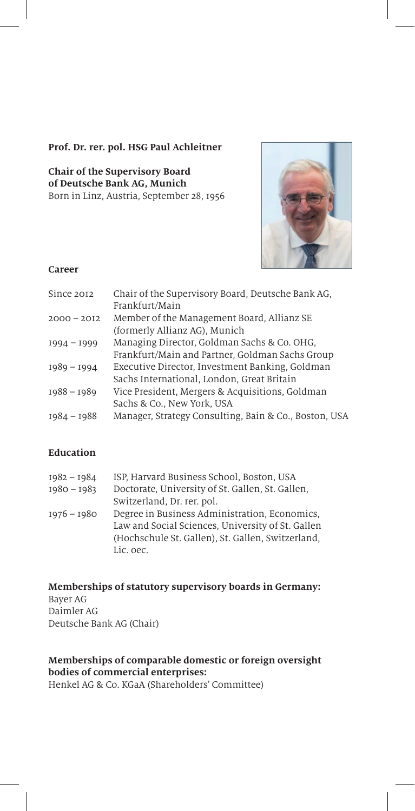### **Prof. Dr. rer. pol. HSG Paul Achleitner**

**Chair of the Supervisory Board of Deutsche Bank AG, Munich** Born in Linz, Austria, September 28, 1956



### **Career**

| Since 2012    | Chair of the Supervisory Board, Deutsche Bank AG,     |
|---------------|-------------------------------------------------------|
|               | Frankfurt/Main                                        |
| $2000 - 2012$ | Member of the Management Board, Allianz SE            |
|               | (formerly Allianz AG), Munich                         |
| $1994 - 1999$ | Managing Director, Goldman Sachs & Co. OHG,           |
|               | Frankfurt/Main and Partner, Goldman Sachs Group       |
| $1989 - 1994$ | Executive Director, Investment Banking, Goldman       |
|               | Sachs International, London, Great Britain            |
| $1988 - 1989$ | Vice President, Mergers & Acquisitions, Goldman       |
|               | Sachs & Co., New York, USA                            |
| $1984 - 1988$ | Manager, Strategy Consulting, Bain & Co., Boston, USA |

## **Education**

| $1982 - 1984$ | ISP, Harvard Business School, Boston, USA         |
|---------------|---------------------------------------------------|
| $1980 - 1983$ | Doctorate, University of St. Gallen, St. Gallen,  |
|               | Switzerland, Dr. rer. pol.                        |
| $1976 - 1980$ | Degree in Business Administration, Economics,     |
|               | Law and Social Sciences, University of St. Gallen |
|               | (Hochschule St. Gallen), St. Gallen, Switzerland, |
|               | Lic. oec.                                         |

#### **Memberships of statutory supervisory boards in Germany:**  Bayer AG Daimler AG Deutsche Bank AG (Chair)

# **Memberships of comparable domestic or foreign oversight bodies of commercial enterprises:**

Henkel AG & Co. KGaA (Shareholders' Committee)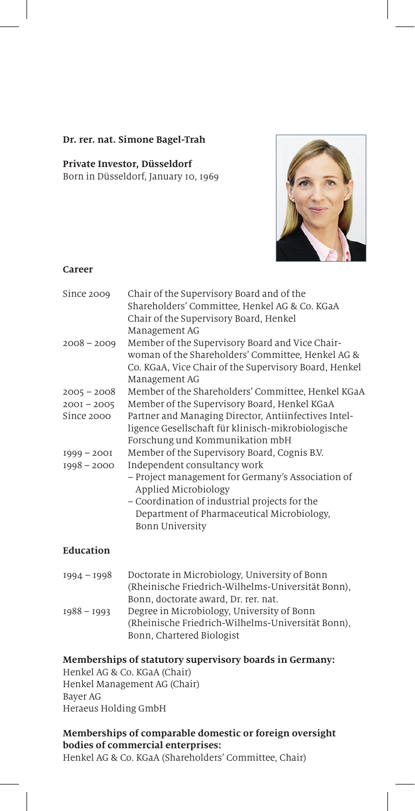#### **Dr. rer. nat. Simone Bagel-Trah**

#### **Private Investor, Düsseldorf** Born in Düsseldorf, January 10, 1969



#### **Career**

| Since 2009    | Chair of the Supervisory Board and of the<br>Shareholders' Committee, Henkel AG & Co. KGaA<br>Chair of the Supervisory Board, Henkel<br>Management AG                          |
|---------------|--------------------------------------------------------------------------------------------------------------------------------------------------------------------------------|
| $2008 - 2009$ | Member of the Supervisory Board and Vice Chair-<br>woman of the Shareholders' Committee, Henkel AG &<br>Co. KGaA, Vice Chair of the Supervisory Board, Henkel<br>Management AG |
| $2005 - 2008$ | Member of the Shareholders' Committee, Henkel KGaA                                                                                                                             |
| $200I - 2005$ | Member of the Supervisory Board, Henkel KGaA                                                                                                                                   |
| Since 2000    | Partner and Managing Director, Antiinfectives Intel-<br>ligence Gesellschaft für klinisch-mikrobiologische<br>Forschung und Kommunikation mbH                                  |
| $1999 - 2001$ | Member of the Supervisory Board, Cognis B.V.                                                                                                                                   |
| $1998 - 2000$ | Independent consultancy work                                                                                                                                                   |
|               | - Project management for Germany's Association of<br>Applied Microbiology                                                                                                      |
|               | - Coordination of industrial projects for the                                                                                                                                  |
|               | Department of Pharmaceutical Microbiology,<br>Bonn University                                                                                                                  |
| $Flu$         |                                                                                                                                                                                |

## **Education**

| Doctorate in Microbiology, University of Bonn     |
|---------------------------------------------------|
| (Rheinische Friedrich-Wilhelms-Universität Bonn). |
| Bonn, doctorate award, Dr. rer. nat.              |
| Degree in Microbiology, University of Bonn        |
| (Rheinische Friedrich-Wilhelms-Universität Bonn). |
| Bonn, Chartered Biologist                         |
|                                                   |

## **Memberships of statutory supervisory boards in Germany:**

Henkel AG & Co. KGaA (Chair) Henkel Management AG (Chair) Bayer AG Heraeus Holding GmbH

# **Memberships of comparable domestic or foreign oversight bodies of commercial enterprises:**

Henkel AG & Co. KGaA (Shareholders' Committee, Chair)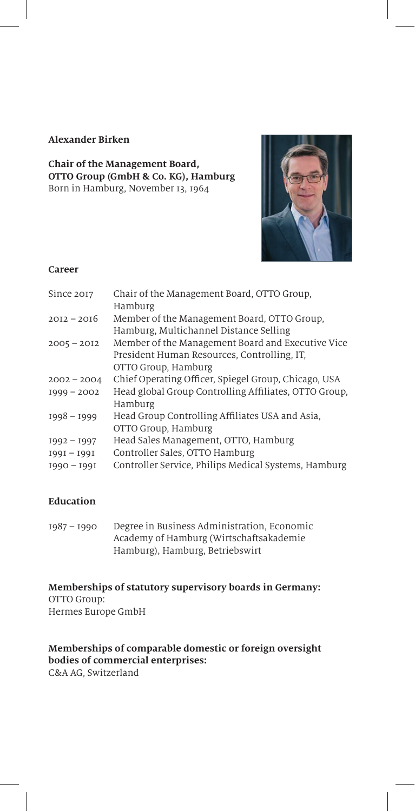#### **Alexander Birken**

**Chair of the Management Board, OTTO Group (GmbH & Co. KG), Hamburg** Born in Hamburg, November 13, 1964



### **Career**

| Since 2017    | Chair of the Management Board, OTTO Group,            |
|---------------|-------------------------------------------------------|
|               | Hamburg                                               |
| $2012 - 2016$ | Member of the Management Board, OTTO Group,           |
|               | Hamburg, Multichannel Distance Selling                |
| $2005 - 2012$ | Member of the Management Board and Executive Vice     |
|               | President Human Resources, Controlling, IT,           |
|               | OTTO Group, Hamburg                                   |
| $2002 - 2004$ | Chief Operating Officer, Spiegel Group, Chicago, USA  |
| $1999 - 2002$ | Head global Group Controlling Affiliates, OTTO Group, |
|               | Hamburg                                               |
| $1998 - 1999$ | Head Group Controlling Affiliates USA and Asia,       |
|               | OTTO Group, Hamburg                                   |
| $1992 - 1997$ | Head Sales Management, OTTO, Hamburg                  |
| $1991 - 1991$ | Controller Sales, OTTO Hamburg                        |
| $1990 - 1991$ | Controller Service, Philips Medical Systems, Hamburg  |
|               |                                                       |

### **Education**

1987 – 1990 Degree in Business Administration, Economic Academy of Hamburg (Wirtschaftsakademie Hamburg), Hamburg, Betriebswirt

**Memberships of statutory supervisory boards in Germany:** OTTO Group: Hermes Europe GmbH

# **Memberships of comparable domestic or foreign oversight bodies of commercial enterprises:**

C&A AG, Switzerland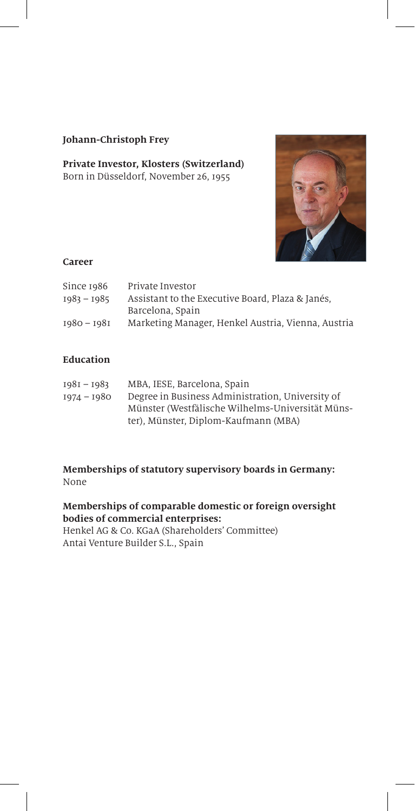## **Johann-Christoph Frey**

### **Private Investor, Klosters (Switzerland)** Born in Düsseldorf, November 26, 1955



### **Career**

| Private Investor                                   |
|----------------------------------------------------|
| Assistant to the Executive Board, Plaza & Janés,   |
| Barcelona, Spain                                   |
| Marketing Manager, Henkel Austria, Vienna, Austria |
|                                                    |

# **Education**

| $1981 - 1983$ | MBA, IESE, Barcelona, Spain                      |
|---------------|--------------------------------------------------|
| 1974 - 1980   | Degree in Business Administration. University of |
|               | Münster (Westfälische Wilhelms-Universität Müns- |
|               | ter), Münster, Diplom-Kaufmann (MBA)             |

**Memberships of statutory supervisory boards in Germany:** None

## **Memberships of comparable domestic or foreign oversight bodies of commercial enterprises:**

Henkel AG & Co. KGaA (Shareholders' Committee) Antai Venture Builder S.L., Spain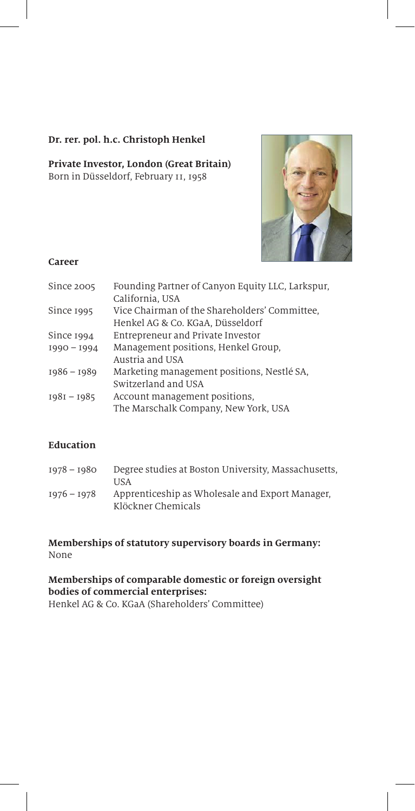### **Dr. rer. pol. h.c. Christoph Henkel**

**Private Investor, London (Great Britain)** Born in Düsseldorf, February 11, 1958



### **Career**

| Founding Partner of Canyon Equity LLC, Larkspur, |
|--------------------------------------------------|
| California, USA                                  |
| Vice Chairman of the Shareholders' Committee,    |
| Henkel AG & Co. KGaA, Düsseldorf                 |
| Entrepreneur and Private Investor                |
| Management positions, Henkel Group,              |
| Austria and USA                                  |
| Marketing management positions, Nestlé SA,       |
| Switzerland and USA                              |
| Account management positions,                    |
| The Marschalk Company, New York, USA             |
|                                                  |

# **Education**

| $1978 - 1980$ | Degree studies at Boston University, Massachusetts, |
|---------------|-----------------------------------------------------|
|               | USA                                                 |
| $1976 - 1978$ | Apprenticeship as Wholesale and Export Manager.     |
|               | Klöckner Chemicals                                  |

#### **Memberships of statutory supervisory boards in Germany:** None

**Memberships of comparable domestic or foreign oversight bodies of commercial enterprises:**  Henkel AG & Co. KGaA (Shareholders' Committee)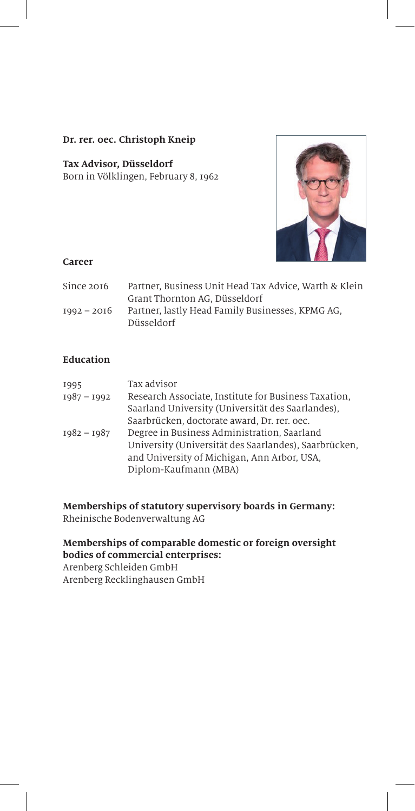### **Dr. rer. 0ec. Christoph Kneip**

# **Tax Advisor, Düsseldorf**

Born in Völklingen, February 8, 1962



### **Career**

| Since 2016    | Partner, Business Unit Head Tax Advice, Warth & Klein |
|---------------|-------------------------------------------------------|
|               | Grant Thornton AG. Düsseldorf                         |
| $1992 - 2016$ | Partner, lastly Head Family Businesses, KPMG AG,      |
|               | Düsseldorf                                            |

# **Education**

| 1995<br>$1987 - 1992$ | Tax advisor<br>Research Associate, Institute for Business Taxation,<br>Saarland University (Universität des Saarlandes),                                                     |
|-----------------------|------------------------------------------------------------------------------------------------------------------------------------------------------------------------------|
|                       | Saarbrücken, doctorate award, Dr. rer. oec.                                                                                                                                  |
| $1982 - 1987$         | Degree in Business Administration, Saarland<br>University (Universität des Saarlandes), Saarbrücken,<br>and University of Michigan, Ann Arbor, USA,<br>Diplom-Kaufmann (MBA) |

**Memberships of statutory supervisory boards in Germany:** Rheinische Bodenverwaltung AG

## **Memberships of comparable domestic or foreign oversight bodies of commercial enterprises:**

Arenberg Schleiden GmbH Arenberg Recklinghausen GmbH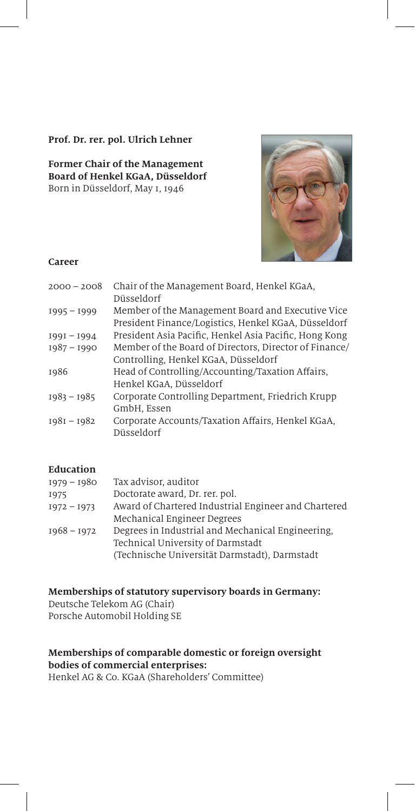#### **Prof. Dr. rer. pol. Ulrich Lehner**

**Former Chair of the Management Board of Henkel KGaA, Düsseldorf** Born in Düsseldorf, May 1, 1946



#### **Career**

| $2000 - 2008$ | Chair of the Management Board, Henkel KGaA,                     |
|---------------|-----------------------------------------------------------------|
|               | Düsseldorf                                                      |
| $1995 - 1999$ | Member of the Management Board and Executive Vice               |
|               | President Finance/Logistics, Henkel KGaA, Düsseldorf            |
| $1991 - 1994$ | President Asia Pacific, Henkel Asia Pacific, Hong Kong          |
| $1987 - 1990$ | Member of the Board of Directors, Director of Finance/          |
|               | Controlling, Henkel KGaA, Düsseldorf                            |
| 1986          | Head of Controlling/Accounting/Taxation Affairs,                |
|               | Henkel KGaA, Düsseldorf                                         |
| $1983 - 1985$ | Corporate Controlling Department, Friedrich Krupp               |
|               | GmbH. Essen                                                     |
| $1981 - 1982$ | Corporate Accounts/Taxation Affairs, Henkel KGaA,<br>Düsseldorf |
|               |                                                                 |

## **Education**

| Tax advisor, auditor                                 |
|------------------------------------------------------|
| Doctorate award, Dr. rer. pol.                       |
| Award of Chartered Industrial Engineer and Chartered |
| Mechanical Engineer Degrees                          |
| Degrees in Industrial and Mechanical Engineering.    |
| Technical University of Darmstadt                    |
| (Technische Universität Darmstadt), Darmstadt        |
|                                                      |

**Memberships of statutory supervisory boards in Germany:** Deutsche Telekom AG (Chair) Porsche Automobil Holding SE

# **Memberships of comparable domestic or foreign oversight bodies of commercial enterprises:**

Henkel AG & Co. KGaA (Shareholders' Committee)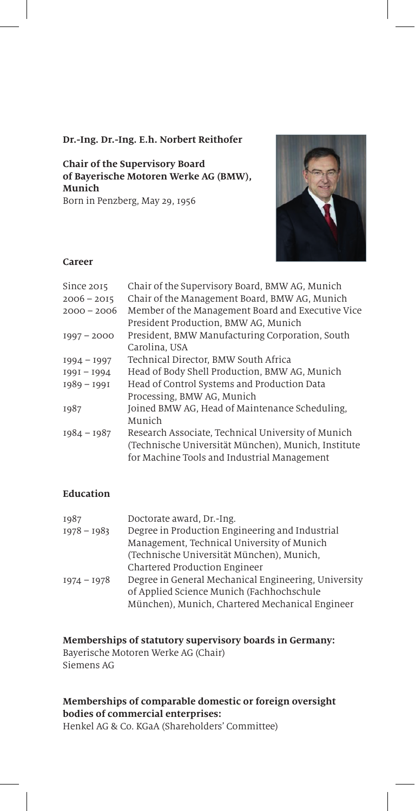#### **Dr.-Ing. Dr.-Ing. E.h. Norbert Reithofer**

**Chair of the Supervisory Board of Bayerische Motoren Werke AG (BMW), Munich** Born in Penzberg, May 29, 1956



#### **Career**

| Since 2015    | Chair of the Supervisory Board, BMW AG, Munich      |
|---------------|-----------------------------------------------------|
| $2006 - 2015$ | Chair of the Management Board, BMW AG, Munich       |
| $2000 - 2006$ | Member of the Management Board and Executive Vice   |
|               | President Production, BMW AG, Munich                |
| $1997 - 2000$ | President, BMW Manufacturing Corporation, South     |
|               | Carolina. USA                                       |
| $1994 - 1997$ | Technical Director, BMW South Africa                |
| $1991 - 1994$ | Head of Body Shell Production, BMW AG, Munich       |
| $1989 - 1991$ | Head of Control Systems and Production Data         |
|               | Processing, BMW AG, Munich                          |
| 1987          | Joined BMW AG, Head of Maintenance Scheduling,      |
|               | Munich                                              |
| $1984 - 1987$ | Research Associate, Technical University of Munich  |
|               | (Technische Universität München), Munich, Institute |
|               | for Machine Tools and Industrial Management         |
|               |                                                     |

# **Education**

| 1987          | Doctorate award, Dr.-Ing.                            |
|---------------|------------------------------------------------------|
| $1978 - 1983$ | Degree in Production Engineering and Industrial      |
|               | Management, Technical University of Munich           |
|               | (Technische Universität München), Munich,            |
|               | Chartered Production Engineer                        |
| $1974 - 1978$ | Degree in General Mechanical Engineering, University |
|               | of Applied Science Munich (Fachhochschule            |
|               | München), Munich, Chartered Mechanical Engineer      |

### **Memberships of statutory supervisory boards in Germany:**

Bayerische Motoren Werke AG (Chair) Siemens AG

# **Memberships of comparable domestic or foreign oversight bodies of commercial enterprises:**

Henkel AG & Co. KGaA (Shareholders' Committee)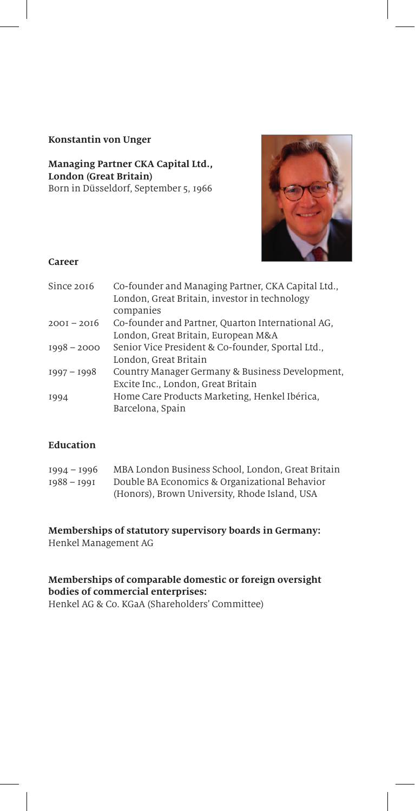### **Konstantin von Unger**

### **Managing Partner CKA Capital Ltd., London (Great Britain)** Born in Düsseldorf, September 5, 1966



### **Career**

| Since 2016    | Co-founder and Managing Partner, CKA Capital Ltd.,<br>London, Great Britain, investor in technology<br>companies |
|---------------|------------------------------------------------------------------------------------------------------------------|
| $200I - 20I6$ | Co-founder and Partner, Quarton International AG,                                                                |
|               | London, Great Britain, European M&A                                                                              |
| $1998 - 2000$ | Senior Vice President & Co-founder, Sportal Ltd.,                                                                |
|               | London, Great Britain                                                                                            |
| $1997 - 1998$ | Country Manager Germany & Business Development,                                                                  |
|               | Excite Inc., London, Great Britain                                                                               |
| 1994          | Home Care Products Marketing, Henkel Ibérica,                                                                    |
|               | Barcelona, Spain                                                                                                 |

# **Education**

| $1994 - 1996$ | MBA London Business School, London, Great Britain |
|---------------|---------------------------------------------------|
| $1988 - 1991$ | Double BA Economics & Organizational Behavior     |
|               | (Honors), Brown University, Rhode Island, USA     |

#### **Memberships of statutory supervisory boards in Germany:** Henkel Management AG

#### **Memberships of comparable domestic or foreign oversight bodies of commercial enterprises:** Henkel AG & Co. KGaA (Shareholders' Committee)